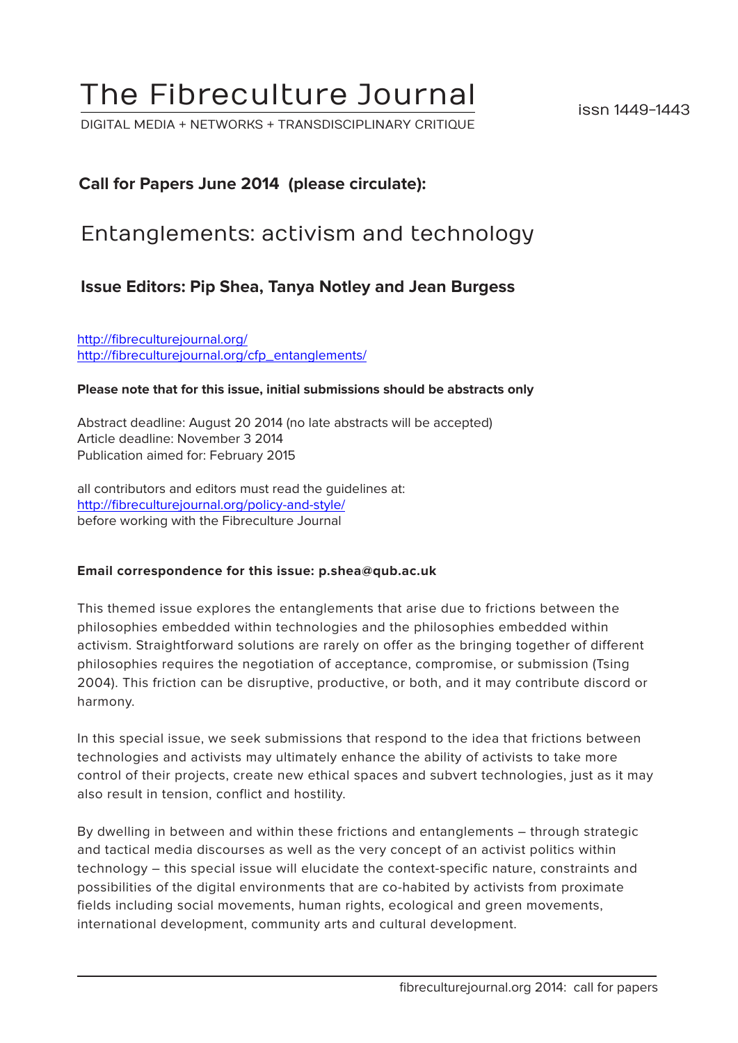# The Fibreculture Journal

DIGITAL MEDIA + NETWORKS + TRANSDISCIPLINARY CRITIQUE

issn 1449-1443

## **Call for Papers June 2014 (please circulate):**

## Entanglements: activism and technology

## **Issue Editors: Pip Shea, Tanya Notley and Jean Burgess**

[http://fibreculturejournal.org/](http://fibreculturejournal.org/ http://fibreculturejournal.org/cfp_creative_robotics/) [http://fibreculturejournal.org/cfp\\_entanglements/](http://fibreculturejournal.org/ http://fibreculturejournal.org/cfp_creative_robotics/)

### **Please note that for this issue, initial submissions should be abstracts only**

Abstract deadline: August 20 2014 (no late abstracts will be accepted) Article deadline: November 3 2014 Publication aimed for: February 2015

all contributors and editors must read the guidelines at: <http://fibreculturejournal.org/policy-and-style/> before working with the Fibreculture Journal

#### **Email correspondence for this issue: p.shea@qub.ac.uk**

This themed issue explores the entanglements that arise due to frictions between the philosophies embedded within technologies and the philosophies embedded within activism. Straightforward solutions are rarely on offer as the bringing together of different philosophies requires the negotiation of acceptance, compromise, or submission (Tsing 2004). This friction can be disruptive, productive, or both, and it may contribute discord or harmony.

In this special issue, we seek submissions that respond to the idea that frictions between technologies and activists may ultimately enhance the ability of activists to take more control of their projects, create new ethical spaces and subvert technologies, just as it may also result in tension, conflict and hostility.

By dwelling in between and within these frictions and entanglements – through strategic and tactical media discourses as well as the very concept of an activist politics within technology – this special issue will elucidate the context-specific nature, constraints and possibilities of the digital environments that are co-habited by activists from proximate fields including social movements, human rights, ecological and green movements, international development, community arts and cultural development.